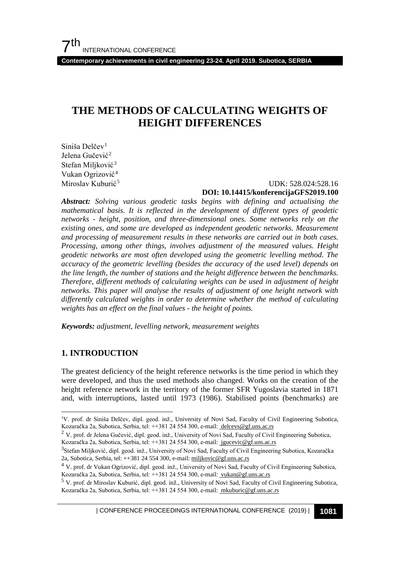**Contemporary achievements in civil engineering 23-24. April 2019. Subotica, SERBIA**

## **THE METHODS OF CALCULATING WEIGHTS OF HEIGHT DIFFERENCES**

 $Siniša$  Delčev<sup>[1](#page-0-0)</sup> Jelena Gučević<sup>[2](#page-0-1)</sup> Stefan Miliković<sup>[3](#page-0-2)</sup> Vukan Ogrizović<sup>[4](#page-0-3)</sup> Miroslav Kuburić<sup>[5](#page-0-4)</sup>

#### UDK: 528.024:528.16 **DOI: 10.14415/konferencijaGFS2019.100**

*Abstract: Solving various geodetic tasks begins with defining and actualising the mathematical basis. It is reflected in the development of different types of geodetic networks - height, position, and three-dimensional ones. Some networks rely on the existing ones, and some are developed as independent geodetic networks. Measurement and processing of measurement results in these networks are carried out in both cases. Processing, among other things, involves adjustment of the measured values. Height geodetic networks are most often developed using the geometric levelling method. The accuracy of the geometric levelling (besides the accuracy of the used level) depends on the line length, the number of stations and the height difference between the benchmarks. Therefore, different methods of calculating weights can be used in adjustment of height networks. This paper will analyse the results of adjustment of one height network with differently calculated weights in order to determine whether the method of calculating weights has an effect on the final values - the height of points.*

*Keywords: adjustment, levelling network, measurement weights*

## **1. INTRODUCTION**

The greatest deficiency of the height reference networks is the time period in which they were developed, and thus the used methods also changed. Works on the creation of the height reference network in the territory of the former SFR Yugoslavia started in 1871 and, with interruptions, lasted until 1973 (1986). Stabilised points (benchmarks) are

| CONFERENCE PROCEEDINGS INTERNATIONAL CONFERENCE (2019) <sup>|</sup>**1081**

<span id="page-0-0"></span><sup>|&</sup>lt;br>1 <sup>1</sup>V. prof. dr Siniša Delčev, dipl. geod. inž., University of Novi Sad, Faculty of Civil Engineering Subotica, Kozaračka 2a, Subotica, Serbia, tel: ++381 24 554 300, e-mail[: delcevs@gf.uns.ac.rs](mailto:delcevs@gf.uns.ac.rs)

<span id="page-0-1"></span><sup>&</sup>lt;sup>2</sup> V. prof. dr Jelena Gučević, dipl. geod. inž., University of Novi Sad, Faculty of Civil Engineering Subotica, Kozaračka 2a, Subotica, Serbia, tel: ++381 24 554 300, e-mail[: jgucevic@gf.uns.ac.rs](mailto:%20jgucevic@gf.uns.ac.rs)

<span id="page-0-2"></span><sup>&</sup>lt;sup>3</sup>Stefan Miljković, dipl. geod. inž., University of Novi Sad, Faculty of Civil Engineering Subotica, Kozaračka 2a, Subotica, Serbia, tel: ++381 24 554 300, e-mail[: miljkovic@gf.uns.ac.rs](mailto:%20miljkovic@gf.uns.ac.rs)

<span id="page-0-3"></span><sup>4</sup> V. prof. dr Vukan Ogrizović, dipl. geod. inž., University of Novi Sad, Faculty of Civil Engineering Subotica, Kozaračka 2a, Subotica, Serbia, tel: ++381 24 554 300, e-mail[: vukan@gf.uns.ac.rs](mailto:%20vukan@gf.uns.ac.rs)

<span id="page-0-4"></span><sup>5</sup> V. prof. dr Miroslav Kuburić, dipl. geod. inž., University of Novi Sad, Faculty of Civil Engineering Subotica, Kozaračka 2a, Subotica, Serbia, tel: ++381 24 554 300, e-mail[: mkuburic@gf.uns.ac.rs](mailto:%20mkuburic@gf.uns.ac.rs)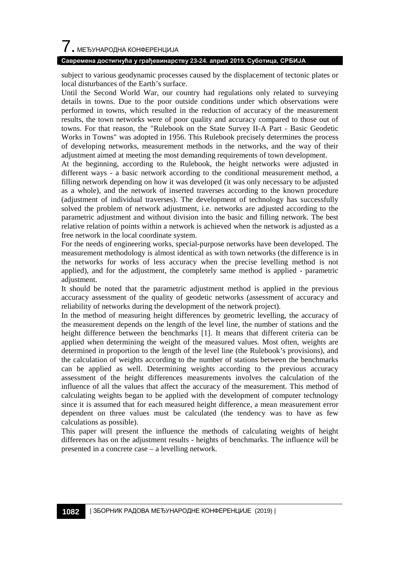# $\overline{\phantom{a}}$ . МЕЂУНАРОДНА КОНФЕРЕНЦИЈА

## **Савремена достигнућа у грађевинарству 23-24. април 2019. Суботица, СРБИЈА**

subject to various geodynamic processes caused by the displacement of tectonic plates or local disturbances of the Earth's surface.

Until the Second World War, our country had regulations only related to surveying details in towns. Due to the poor outside conditions under which observations were performed in towns, which resulted in the reduction of accuracy of the measurement results, the town networks were of poor quality and accuracy compared to those out of towns. For that reason, the "Rulebook on the State Survey II-A Part - Basic Geodetic Works in Towns" was adopted in 1956. This Rulebook precisely determines the process of developing networks, measurement methods in the networks, and the way of their adjustment aimed at meeting the most demanding requirements of town development.

At the beginning, according to the Rulebook, the height networks were adjusted in different ways - a basic network according to the conditional measurement method, a filling network depending on how it was developed (it was only necessary to be adjusted as a whole), and the network of inserted traverses according to the known procedure (adjustment of individual traverses). The development of technology has successfully solved the problem of network adjustment, i.e. networks are adjusted according to the parametric adjustment and without division into the basic and filling network. The best relative relation of points within a network is achieved when the network is adjusted as a free network in the local coordinate system.

For the needs of engineering works, special-purpose networks have been developed. The measurement methodology is almost identical as with town networks (the difference is in the networks for works of less accuracy when the precise levelling method is not applied), and for the adjustment, the completely same method is applied - parametric adjustment.

It should be noted that the parametric adjustment method is applied in the previous accuracy assessment of the quality of geodetic networks (assessment of accuracy and reliability of networks during the development of the network project).

In the method of measuring height differences by geometric levelling, the accuracy of the measurement depends on the length of the level line, the number of stations and the height difference between the benchmarks [1]. It means that different criteria can be applied when determining the weight of the measured values. Most often, weights are determined in proportion to the length of the level line (the Rulebook's provisions), and the calculation of weights according to the number of stations between the benchmarks can be applied as well. Determining weights according to the previous accuracy assessment of the height differences measurements involves the calculation of the influence of all the values that affect the accuracy of the measurement. This method of calculating weights began to be applied with the development of computer technology since it is assumed that for each measured height difference, a mean measurement error dependent on three values must be calculated (the tendency was to have as few calculations as possible).

This paper will present the influence the methods of calculating weights of height differences has on the adjustment results - heights of benchmarks. The influence will be presented in a concrete case – a levelling network.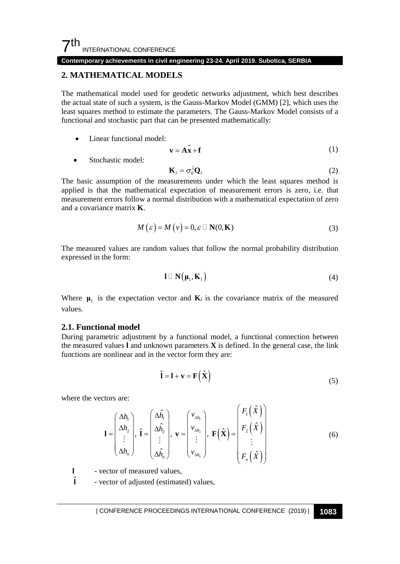**Contemporary achievements in civil engineering 23-24. April 2019. Subotica, SERBIA**

## **2. MATHEMATICAL MODELS**

The mathematical model used for geodetic networks adjustment, which best describes the actual state of such a system, is the Gauss-Markov Model (GMM) [2], which uses the least squares method to estimate the parameters. The Gauss-Markov Model consists of a functional and stochastic part that can be presented mathematically:

• Linear functional model:

$$
\mathbf{v} = \mathbf{A}\hat{\mathbf{x}} + \mathbf{f} \tag{1}
$$

\n- Stochastic model:
\n- $$
\mathbf{K}_l = \sigma_0^2 \mathbf{Q}_l
$$
\n
\n
\n(2)

The basic assumption of the measurements under which the least squares method is applied is that the mathematical expectation of measurement errors is zero, i.e. that measurement errors follow a normal distribution with a mathematical expectation of zero and a covariance matrix **K**.

$$
M(\varepsilon) = M(\nu) = 0, \varepsilon \square \mathbf{N}(0, \mathbf{K})
$$
\n(3)

The measured values are random values that follow the normal probability distribution expressed in the form:

$$
\mathbf{l} \Box \mathbf{N}(\mathbf{\mu}_1, \mathbf{K}_1) \tag{4}
$$

Where  $\mu_1$  is the expectation vector and  $\mathbf{K}_l$  is the covariance matrix of the measured values.

#### **2.1. Functional model**

During parametric adjustment by a functional model, a functional connection between the measured values **l** and unknown parameters **X** is defined. In the general case, the link functions are nonlinear and in the vector form they are:

$$
\hat{\mathbf{l}} = \mathbf{l} + \mathbf{v} = \mathbf{F}(\hat{\mathbf{X}})
$$
\n(5)

where the vectors are:

$$
\mathbf{I} = \begin{pmatrix} \Delta h_1 \\ \Delta h_2 \\ \vdots \\ \Delta h_n \end{pmatrix}, \hat{\mathbf{I}} = \begin{pmatrix} \Delta \hat{h}_1 \\ \Delta \hat{h}_2 \\ \vdots \\ \Delta \hat{h}_n \end{pmatrix}, \mathbf{v} = \begin{pmatrix} v_{\Delta h_1} \\ v_{\Delta h_2} \\ \vdots \\ v_{\Delta h_n} \end{pmatrix}, \mathbf{F}(\hat{\mathbf{X}}) = \begin{pmatrix} F_1(\hat{X}) \\ F_2(\hat{X}) \\ \vdots \\ F_n(\hat{X}) \end{pmatrix}
$$
(6)

- **l** vector of measured values,
- ˆ **l** - vector of adjusted (estimated) values,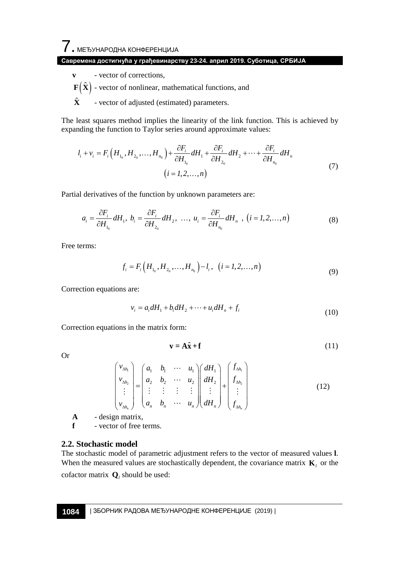## **Савремена достигнућа у грађевинарству 23-24. април 2019. Суботица, СРБИЈА**

- **v** vector of corrections,
- $\mathbf{F}(\hat{\mathbf{X}})$  vector of nonlinear, mathematical functions, and
- $\hat{\mathbf{X}}$  vector of adjusted (estimated) parameters.

The least squares method implies the linearity of the link function. This is achieved by expanding the function to Taylor series around approximate values:

$$
l_{i} + v_{i} = F_{i} \left( H_{1_{0}}, H_{2_{0}}, \dots, H_{n_{0}} \right) + \frac{\partial F_{i}}{\partial H_{1_{0}}} dH_{1} + \frac{\partial F_{i}}{\partial H_{2_{0}}} dH_{2} + \dots + \frac{\partial F_{i}}{\partial H_{n_{0}}} dH_{n}
$$
\n
$$
(i = 1, 2, \dots, n)
$$
\n(7)

Partial derivatives of the function by unknown parameters are:

$$
a_i = \frac{\partial F_i}{\partial H_{l_0}} dH_1, b_i = \frac{\partial F_i}{\partial H_{2_0}} dH_2, \dots, u_i = \frac{\partial F_i}{\partial H_{n_0}} dH_n, (i = 1, 2, \dots, n)
$$
(8)

Free terms:

$$
f_i = F_i\left(H_{1_0}, H_{2_0}, \dots, H_{n_0}\right) - l_i, \ \left(i = 1, 2, \dots, n\right)
$$
\n(9)

Correction equations are:

$$
v_i = a_i dH_1 + b_i dH_2 + \dots + u_i dH_n + f_i
$$
\n(10)

Correction equations in the matrix form:

$$
\mathbf{v} = \mathbf{A}\hat{\mathbf{x}} + \mathbf{f} \tag{11}
$$

Or

$$
\begin{pmatrix}\n v_{\Delta h_1} \\
v_{\Delta h_2} \\
\vdots \\
v_{\Delta h_n}\n\end{pmatrix} = \begin{pmatrix}\n a_1 & b_1 & \cdots & u_1 \\
a_2 & b_2 & \cdots & u_2 \\
\vdots & \vdots & \vdots & \vdots \\
a_n & b_n & \cdots & u_n\n\end{pmatrix} \begin{pmatrix}\n dH_1 \\
dH_2 \\
\vdots \\
dH_n\n\end{pmatrix} + \begin{pmatrix}\n f_{\Delta h_1} \\
f_{\Delta h_2} \\
\vdots \\
f_{\Delta h_n}\n\end{pmatrix}
$$
\n(12)

**A** - design matrix,

**f** - vector of free terms.

#### **2.2. Stochastic model**

The stochastic model of parametric adjustment refers to the vector of measured values **l**. When the measured values are stochastically dependent, the covariance matrix  $\mathbf{K}_l$  or the cofactor matrix  $\mathbf{Q}_l$  should be used: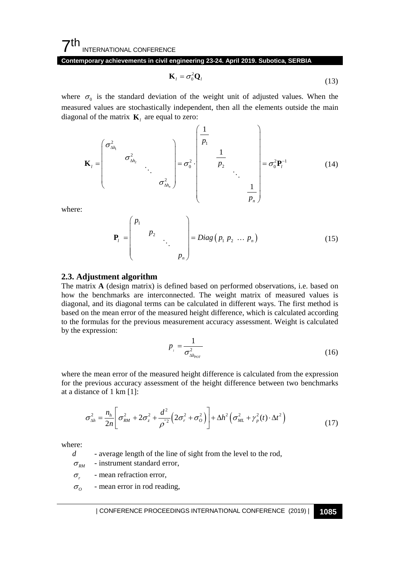## $7^{\text{th}}$ INTERNATIONAL CONFERENCE

**Contemporary achievements in civil engineering 23-24. April 2019. Subotica, SERBIA**

$$
\mathbf{K}_l = \sigma_0^2 \mathbf{Q}_l \tag{13}
$$

where  $\sigma_0$  is the standard deviation of the weight unit of adjusted values. When the measured values are stochastically independent, then all the elements outside the main diagonal of the matrix  $\mathbf{K}_i$  are equal to zero:

$$
\mathbf{K}_{l} = \begin{pmatrix} \sigma_{\Delta h_{1}}^{2} & & \\ & \sigma_{\Delta h_{2}}^{2} & \\ & & \ddots \\ & & & \sigma_{\Delta h_{n}}^{2} \end{pmatrix} = \sigma_{0}^{2} \cdot \begin{pmatrix} \frac{1}{p_{1}} & & \\ & \frac{1}{p_{2}} & \\ & & \ddots \\ & & & \frac{1}{p_{n}} \end{pmatrix} = \sigma_{0}^{2} \mathbf{P}_{l}^{-1} \tag{14}
$$

where:

$$
\mathbf{P}_{l} = \begin{pmatrix} P_{1} & & & \\ & P_{2} & & \\ & & \ddots & \\ & & & P_{n} \end{pmatrix} = Diag (p_{1} p_{2} \dots p_{n}) \qquad (15)
$$

#### **2.3. Adjustment algorithm**

The matrix **A** (design matrix) is defined based on performed observations, i.e. based on how the benchmarks are interconnected. The weight matrix of measured values is diagonal, and its diagonal terms can be calculated in different ways. The first method is based on the mean error of the measured height difference, which is calculated according to the formulas for the previous measurement accuracy assessment. Weight is calculated by the expression:

$$
p_{i} = \frac{1}{\sigma_{\Delta h_{\text{pOT}}}^2} \tag{16}
$$

where the mean error of the measured height difference is calculated from the expression for the previous accuracy assessment of the height difference between two benchmarks at a distance of 1 km [1]:

$$
\sigma_{\Delta h}^2 = \frac{n_h}{2n} \left[ \sigma_{RM}^2 + 2\sigma_z^2 + \frac{d^2}{\rho^2} \left( 2\sigma_r^2 + \sigma_o^2 \right) \right] + \Delta h^2 \left( \sigma_{ML}^2 + \gamma_p^2(t) \cdot \Delta t^2 \right)
$$
(17)

where:

*d* - average length of the line of sight from the level to the rod,

 $\sigma_{\scriptscriptstyle RM}$  - instrument standard error,

 $\sigma_r$  - mean refraction error,

 $\sigma$ <sup>0</sup> - mean error in rod reading,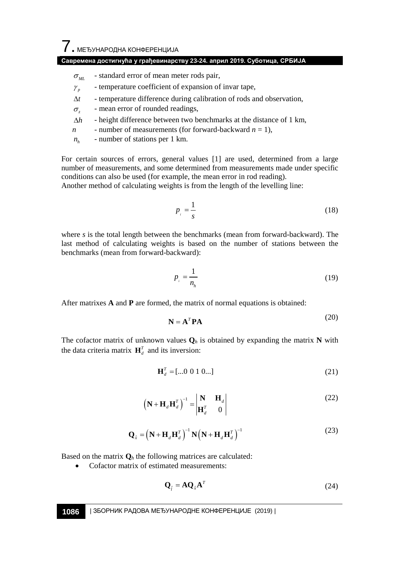## **Савремена достигнућа у грађевинарству 23-24. април 2019. Суботица, СРБИЈА**

 $\sigma_{ML}$  - standard error of mean meter rods pair,

- $\gamma$ <sup>*n*</sup> temperature coefficient of expansion of invar tape,
- ∆*t* temperature difference during calibration of rods and observation,
- $\sigma$ <sub>z</sub> mean error of rounded readings,
- ∆*h* height difference between two benchmarks at the distance of 1 km,
- *n* number of measurements (for forward-backward *n* = 1),
- $n<sub>h</sub>$  number of stations per 1 km.

For certain sources of errors, general values [1] are used, determined from a large number of measurements, and some determined from measurements made under specific conditions can also be used (for example, the mean error in rod reading).

Another method of calculating weights is from the length of the levelling line:

$$
p_{i} = \frac{1}{s} \tag{18}
$$

where *s* is the total length between the benchmarks (mean from forward-backward). The last method of calculating weights is based on the number of stations between the benchmarks (mean from forward-backward):

$$
p_{i} = \frac{1}{n_{h}} \tag{19}
$$

After matrixes **A** and **P** are formed, the matrix of normal equations is obtained:

$$
N = A^T P A \tag{20}
$$

The cofactor matrix of unknown values  $\mathbf{Q}_h$  is obtained by expanding the matrix **N** with the data criteria matrix  $\mathbf{H}_{d}^{T}$  and its inversion:

$$
\mathbf{H}_d^T = [\dots 0 \ 0 \ 1 \ 0 \dots] \tag{21}
$$

$$
\left(\mathbf{N} + \mathbf{H}_d \mathbf{H}_d^T\right)^{-1} = \begin{vmatrix} \mathbf{N} & \mathbf{H}_d \\ \mathbf{H}_d^T & 0 \end{vmatrix}
$$
 (22)

$$
\mathbf{Q}_{\hat{x}} = \left(\mathbf{N} + \mathbf{H}_d \mathbf{H}_d^T\right)^{-1} \mathbf{N} \left(\mathbf{N} + \mathbf{H}_d \mathbf{H}_d^T\right)^{-1} \tag{23}
$$

Based on the matrix  $\mathbf{Q}_h$  the following matrices are calculated:

• Cofactor matrix of estimated measurements:

$$
\mathbf{Q}_{\hat{i}} = \mathbf{A} \mathbf{Q}_{\hat{x}} \mathbf{A}^T
$$
 (24)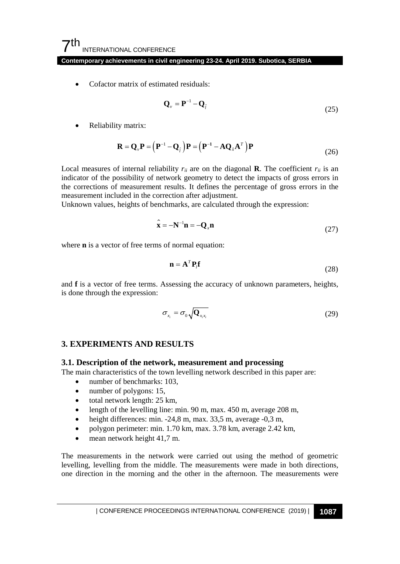$7^{\text{th}}$ INTERNATIONAL CONFERENCE

**Contemporary achievements in civil engineering 23-24. April 2019. Subotica, SERBIA**

• Cofactor matrix of estimated residuals:

$$
\mathbf{Q}_{\nu} = \mathbf{P}^{-1} - \mathbf{Q}_{\hat{i}}
$$
 (25)

Reliability matrix:

$$
\mathbf{R} = \mathbf{Q}_{\nu} \mathbf{P} = (\mathbf{P}^{-1} - \mathbf{Q}_{\hat{I}}) \mathbf{P} = (\mathbf{P}^{-1} - \mathbf{A} \mathbf{Q}_{\hat{x}} \mathbf{A}^T) \mathbf{P}
$$
(26)

Local measures of internal reliability  $r_{ii}$  are on the diagonal **R**. The coefficient  $r_{ii}$  is an indicator of the possibility of network geometry to detect the impacts of gross errors in the corrections of measurement results. It defines the percentage of gross errors in the measurement included in the correction after adjustment.

Unknown values, heights of benchmarks, are calculated through the expression:

$$
\hat{\mathbf{x}} = -\mathbf{N}^{-1}\mathbf{n} = -\mathbf{Q}_{x}\mathbf{n}
$$
\n(27)

where **n** is a vector of free terms of normal equation:

$$
\mathbf{n} = \mathbf{A}^T \mathbf{P}_i \mathbf{f} \tag{28}
$$

and **f** is a vector of free terms. Assessing the accuracy of unknown parameters, heights, is done through the expression:

$$
\sigma_{x_i} = \sigma_0 \sqrt{\mathbf{Q}_{x_i x_i}} \tag{29}
$$

#### **3. EXPERIMENTS AND RESULTS**

#### **3.1. Description of the network, measurement and processing**

The main characteristics of the town levelling network described in this paper are:

- number of benchmarks: 103,
- number of polygons: 15,
- total network length: 25 km,
- length of the levelling line: min. 90 m, max. 450 m, average 208 m,
- height differences: min. -24,8 m, max. 33,5 m, average -0,3 m,
- polygon perimeter: min. 1.70 km, max. 3.78 km, average 2.42 km,
- mean network height 41,7 m.

The measurements in the network were carried out using the method of geometric levelling, levelling from the middle. The measurements were made in both directions, one direction in the morning and the other in the afternoon. The measurements were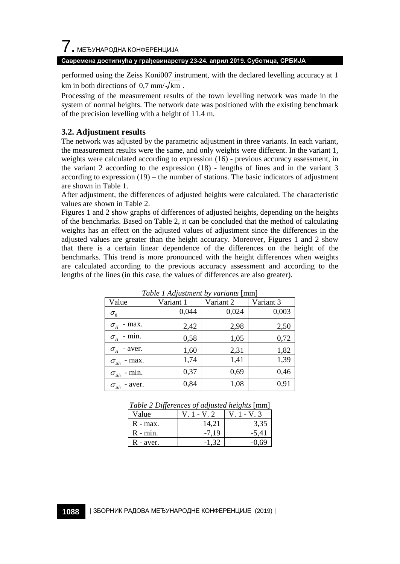7. МЕЂУНАРОДНА КОНФЕРЕНЦИЈА

#### **Савремена достигнућа у грађевинарству 23-24. април 2019. Суботица, СРБИЈА**

performed using the Zeiss Koni007 instrument, with the declared levelling accuracy at 1 km in both directions of  $0.7$  mm/ $\sqrt{\text{km}}$ .

Processing of the measurement results of the town levelling network was made in the system of normal heights. The network date was positioned with the existing benchmark of the precision levelling with a height of 11.4 m.

## **3.2. Adjustment results**

The network was adjusted by the parametric adjustment in three variants. In each variant, the measurement results were the same, and only weights were different. In the variant 1, weights were calculated according to expression (16) - previous accuracy assessment, in the variant 2 according to the expression (18) - lengths of lines and in the variant 3 according to expression  $(19)$  – the number of stations. The basic indicators of adjustment are shown in Table 1.

After adjustment, the differences of adjusted heights were calculated. The characteristic values are shown in Table 2.

Figures 1 and 2 show graphs of differences of adjusted heights, depending on the heights of the benchmarks. Based on Table 2, it can be concluded that the method of calculating weights has an effect on the adjusted values of adjustment since the differences in the adjusted values are greater than the height accuracy. Moreover, Figures 1 and 2 show that there is a certain linear dependence of the differences on the height of the benchmarks. This trend is more pronounced with the height differences when weights are calculated according to the previous accuracy assessment and according to the lengths of the lines (in this case, the values of differences are also greater).

| Table 1 Rajustment by variants [IIIII]         |           |           |           |  |
|------------------------------------------------|-----------|-----------|-----------|--|
| Value                                          | Variant 1 | Variant 2 | Variant 3 |  |
| $\sigma_{0}$                                   | 0,044     | 0,024     | 0,003     |  |
| - max.<br>$\sigma_{\scriptscriptstyle H}$      | 2,42      | 2,98      | 2,50      |  |
| $\sigma_{\scriptscriptstyle H}$ - min.         | 0,58      | 1,05      | 0,72      |  |
| $\sigma_{H}$ - aver.                           | 1,60      | 2,31      | 1,82      |  |
| $\sigma_{\Delta h}$ - max.                     | 1,74      | 1,41      | 1,39      |  |
| $\sigma_{\scriptscriptstyle{\Delta} h}$ - min. | 0,37      | 0,69      | 0,46      |  |
| - aver.<br>$\sigma_{_{\Delta h}}$              | 0,84      | 1,08      | 0,91      |  |

*Table 1 Adjustment by variants* [mm]

| $\cdot$<br>Value |         |        |
|------------------|---------|--------|
| $R - max$ .      |         | 3.35   |
| $R - min$ .      | $-7.19$ | $-5,4$ |
| R - aver.        |         | 6С     |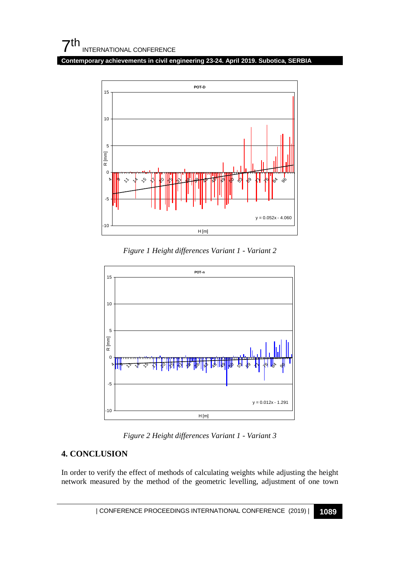**Contemporary achievements in civil engineering 23-24. April 2019. Subotica, SERBIA**



*Figure 1 Height differences Variant 1 - Variant 2*



*Figure 2 Height differences Variant 1 - Variant 3*

## **4. CONCLUSION**

In order to verify the effect of methods of calculating weights while adjusting the height network measured by the method of the geometric levelling, adjustment of one town